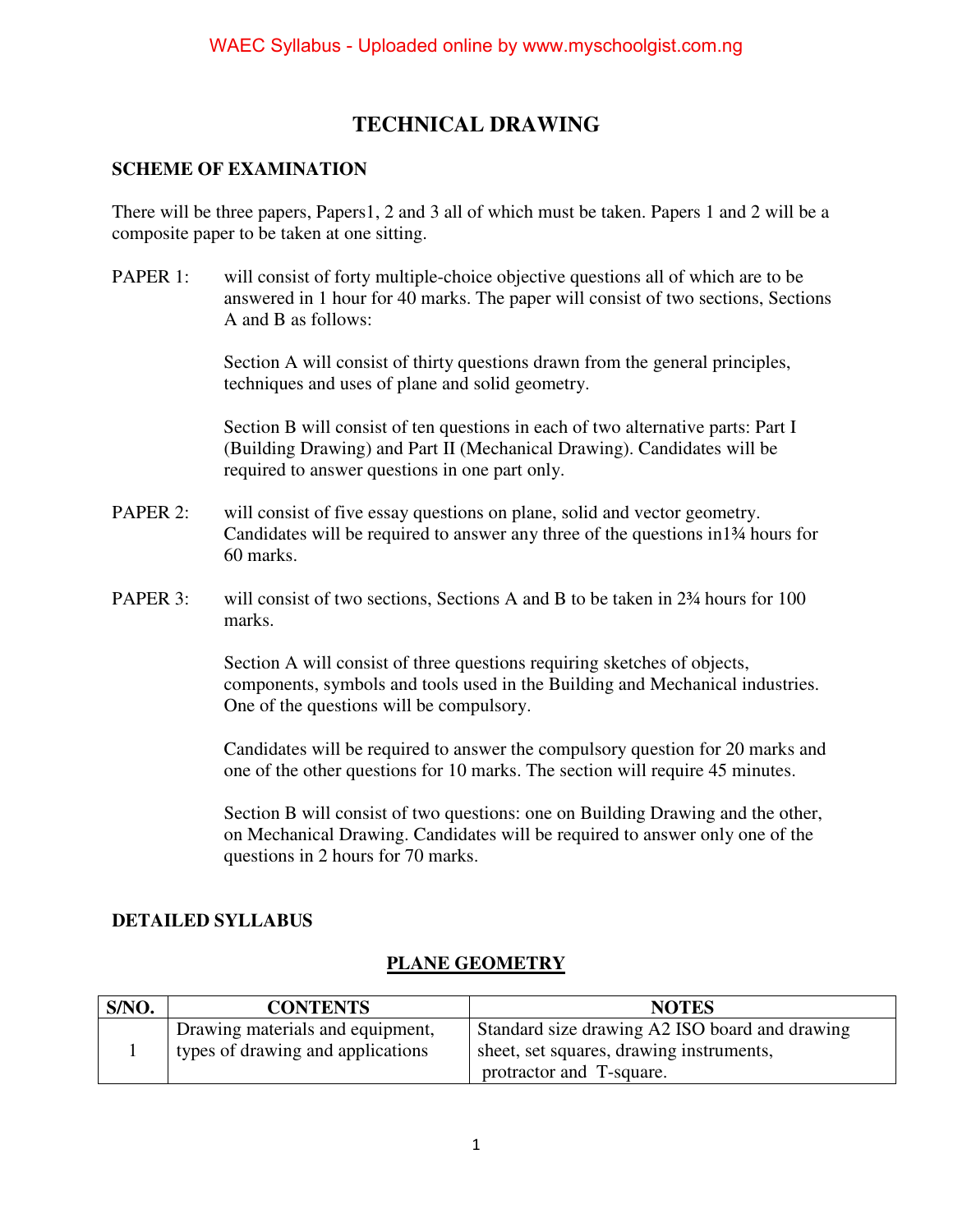# **TECHNICAL DRAWING**

#### **SCHEME OF EXAMINATION**

There will be three papers, Papers1, 2 and 3 all of which must be taken. Papers 1 and 2 will be a composite paper to be taken at one sitting.

PAPER 1: will consist of forty multiple-choice objective questions all of which are to be answered in 1 hour for 40 marks. The paper will consist of two sections, Sections A and B as follows:

> Section A will consist of thirty questions drawn from the general principles, techniques and uses of plane and solid geometry.

 Section B will consist of ten questions in each of two alternative parts: Part I (Building Drawing) and Part II (Mechanical Drawing). Candidates will be required to answer questions in one part only.

- PAPER 2: will consist of five essay questions on plane, solid and vector geometry. Candidates will be required to answer any three of the questions in1¾ hours for 60 marks.
- PAPER 3: will consist of two sections, Sections A and B to be taken in 2<sup>3</sup>/<sub>4</sub> hours for 100 marks.

Section A will consist of three questions requiring sketches of objects, components, symbols and tools used in the Building and Mechanical industries. One of the questions will be compulsory.

Candidates will be required to answer the compulsory question for 20 marks and one of the other questions for 10 marks. The section will require 45 minutes.

Section B will consist of two questions: one on Building Drawing and the other, on Mechanical Drawing. Candidates will be required to answer only one of the questions in 2 hours for 70 marks.

#### **DETAILED SYLLABUS**

## **PLANE GEOMETRY**

| S/NO.                                                                         | <b>CONTENTS</b>                  | <b>NOTES</b>                                   |  |
|-------------------------------------------------------------------------------|----------------------------------|------------------------------------------------|--|
|                                                                               | Drawing materials and equipment, | Standard size drawing A2 ISO board and drawing |  |
| types of drawing and applications<br>sheet, set squares, drawing instruments, |                                  |                                                |  |
|                                                                               |                                  | protractor and T-square.                       |  |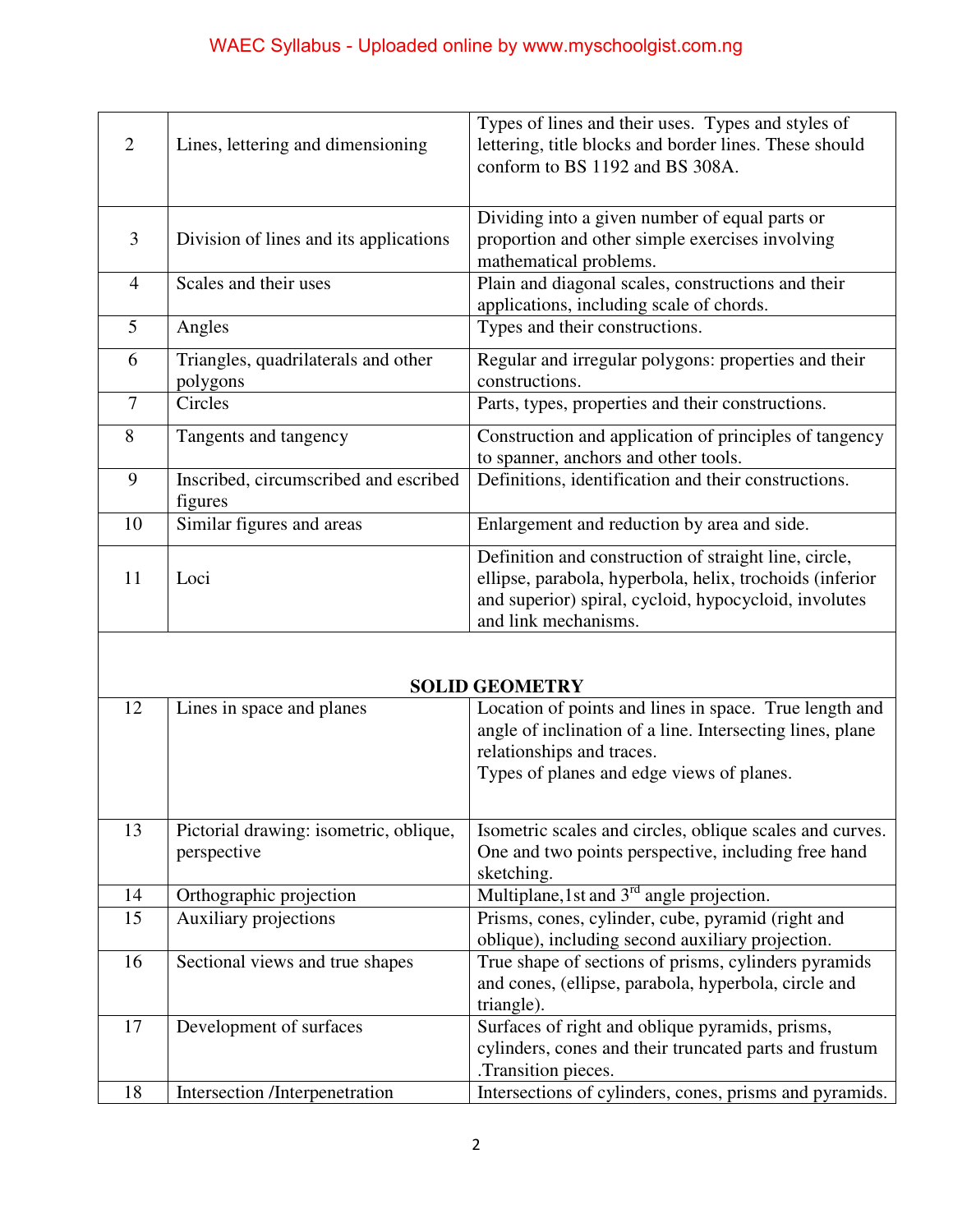# WAEC Syllabus - Uploaded online by www.myschoolgist.com.ng

| $\mathcal{D}_{\cdot}$ | Lines, lettering and dimensioning                | Types of lines and their uses. Types and styles of<br>lettering, title blocks and border lines. These should<br>conform to BS 1192 and BS 308A.                                                    |  |
|-----------------------|--------------------------------------------------|----------------------------------------------------------------------------------------------------------------------------------------------------------------------------------------------------|--|
| 3                     | Division of lines and its applications           | Dividing into a given number of equal parts or<br>proportion and other simple exercises involving<br>mathematical problems.                                                                        |  |
| $\overline{4}$        | Scales and their uses                            | Plain and diagonal scales, constructions and their<br>applications, including scale of chords.                                                                                                     |  |
| 5                     | Angles                                           | Types and their constructions.                                                                                                                                                                     |  |
| 6                     | Triangles, quadrilaterals and other<br>polygons  | Regular and irregular polygons: properties and their<br>constructions.                                                                                                                             |  |
| $\overline{7}$        | Circles                                          | Parts, types, properties and their constructions.                                                                                                                                                  |  |
| 8                     | Tangents and tangency                            | Construction and application of principles of tangency<br>to spanner, anchors and other tools.                                                                                                     |  |
| 9                     | Inscribed, circumscribed and escribed<br>figures | Definitions, identification and their constructions.                                                                                                                                               |  |
| 10                    | Similar figures and areas                        | Enlargement and reduction by area and side.                                                                                                                                                        |  |
| 11                    | Loci                                             | Definition and construction of straight line, circle,<br>ellipse, parabola, hyperbola, helix, trochoids (inferior<br>and superior) spiral, cycloid, hypocycloid, involutes<br>and link mechanisms. |  |

| <b>SOLID GEOMETRY</b> |                                                       |                                                                                                                                                                                               |  |
|-----------------------|-------------------------------------------------------|-----------------------------------------------------------------------------------------------------------------------------------------------------------------------------------------------|--|
| 12                    | Lines in space and planes                             | Location of points and lines in space. True length and<br>angle of inclination of a line. Intersecting lines, plane<br>relationships and traces.<br>Types of planes and edge views of planes. |  |
| 13                    | Pictorial drawing: isometric, oblique,<br>perspective | Isometric scales and circles, oblique scales and curves.<br>One and two points perspective, including free hand<br>sketching.                                                                 |  |
| 14                    | Orthographic projection                               | Multiplane, 1st and $3rd$ angle projection.                                                                                                                                                   |  |
| 15                    | Auxiliary projections                                 | Prisms, cones, cylinder, cube, pyramid (right and<br>oblique), including second auxiliary projection.                                                                                         |  |
| 16                    | Sectional views and true shapes                       | True shape of sections of prisms, cylinders pyramids<br>and cones, (ellipse, parabola, hyperbola, circle and<br>triangle).                                                                    |  |
| 17                    | Development of surfaces                               | Surfaces of right and oblique pyramids, prisms,<br>cylinders, cones and their truncated parts and frustum<br>.Transition pieces.                                                              |  |
| 18                    | Intersection /Interpenetration                        | Intersections of cylinders, cones, prisms and pyramids.                                                                                                                                       |  |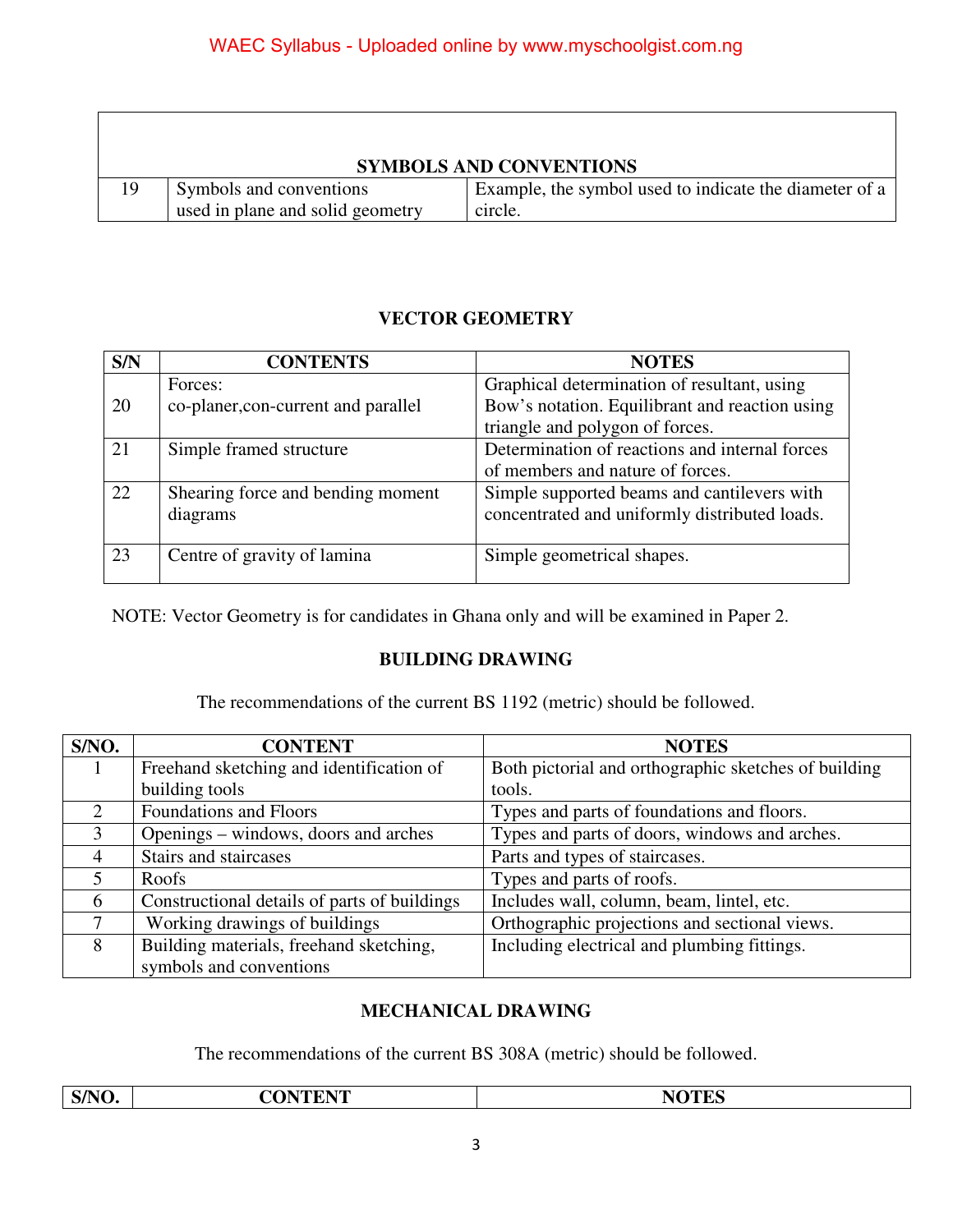$\Gamma$ 

| <b>SYMBOLS AND CONVENTIONS</b> |                                  |                                                        |  |
|--------------------------------|----------------------------------|--------------------------------------------------------|--|
| 19                             | Symbols and conventions          | Example, the symbol used to indicate the diameter of a |  |
|                                | used in plane and solid geometry | circle.                                                |  |

#### **VECTOR GEOMETRY**

| S/N | <b>CONTENTS</b>                     | <b>NOTES</b>                                   |  |
|-----|-------------------------------------|------------------------------------------------|--|
|     | Forces:                             | Graphical determination of resultant, using    |  |
| 20  | co-planer, con-current and parallel | Bow's notation. Equilibrant and reaction using |  |
|     |                                     | triangle and polygon of forces.                |  |
| 21  | Simple framed structure             | Determination of reactions and internal forces |  |
|     |                                     | of members and nature of forces.               |  |
| 22  | Shearing force and bending moment   | Simple supported beams and cantilevers with    |  |
|     | diagrams                            | concentrated and uniformly distributed loads.  |  |
|     |                                     |                                                |  |
| 23  | Centre of gravity of lamina         | Simple geometrical shapes.                     |  |
|     |                                     |                                                |  |

NOTE: Vector Geometry is for candidates in Ghana only and will be examined in Paper 2.

#### **BUILDING DRAWING**

The recommendations of the current BS 1192 (metric) should be followed.

| S/NO.                       | <b>CONTENT</b>                               | <b>NOTES</b>                                         |  |
|-----------------------------|----------------------------------------------|------------------------------------------------------|--|
| 1                           | Freehand sketching and identification of     | Both pictorial and orthographic sketches of building |  |
|                             | building tools                               | tools.                                               |  |
| $\mathcal{D}_{\mathcal{L}}$ | <b>Foundations and Floors</b>                | Types and parts of foundations and floors.           |  |
| 3                           | Openings – windows, doors and arches         | Types and parts of doors, windows and arches.        |  |
| 4                           | Stairs and staircases                        | Parts and types of staircases.                       |  |
| 5                           | Roofs                                        | Types and parts of roofs.                            |  |
| 6                           | Constructional details of parts of buildings | Includes wall, column, beam, lintel, etc.            |  |
| $\tau$                      | Working drawings of buildings                | Orthographic projections and sectional views.        |  |
| 8                           | Building materials, freehand sketching,      | Including electrical and plumbing fittings.          |  |
|                             | symbols and conventions                      |                                                      |  |

## **MECHANICAL DRAWING**

The recommendations of the current BS 308A (metric) should be followed.

|      | <b>ATE</b>                                                                                                                                                                                                                                                                                                                                                                                                                                                 | ---- |
|------|------------------------------------------------------------------------------------------------------------------------------------------------------------------------------------------------------------------------------------------------------------------------------------------------------------------------------------------------------------------------------------------------------------------------------------------------------------|------|
| S/N' | $\begin{array}{cccccccccccccc} \multicolumn{4}{c }{\textbf{1} } & \multicolumn{4}{c }{\textbf{2} } & \multicolumn{4}{c }{\textbf{3} } & \multicolumn{4}{c }{\textbf{4} } & \multicolumn{4}{c }{\textbf{5} } & \multicolumn{4}{c }{\textbf{6} } & \multicolumn{4}{c }{\textbf{7} } & \multicolumn{4}{c }{\textbf{8} } & \multicolumn{4}{c }{\textbf{9} } & \multicolumn{4}{c }{\textbf{1} } & \multicolumn{4}{c }{\textbf{1} } & \multicolumn{4}{c }{\text$ | ◢⊾   |
|      |                                                                                                                                                                                                                                                                                                                                                                                                                                                            |      |